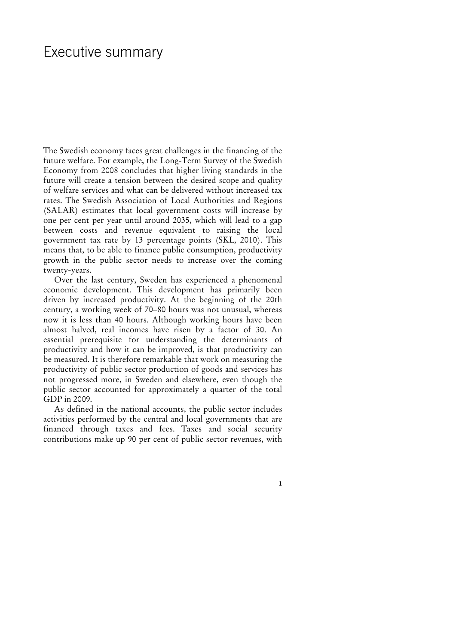## Executive summary

The Swedish economy faces great challenges in the financing of the future welfare. For example, the Long-Term Survey of the Swedish Economy from 2008 concludes that higher living standards in the future will create a tension between the desired scope and quality of welfare services and what can be delivered without increased tax rates. The Swedish Association of Local Authorities and Regions (SALAR) estimates that local government costs will increase by one per cent per year until around 2035, which will lead to a gap between costs and revenue equivalent to raising the local government tax rate by 13 percentage points (SKL, 2010). This means that, to be able to finance public consumption, productivity growth in the public sector needs to increase over the coming twenty-years.

Over the last century, Sweden has experienced a phenomenal economic development. This development has primarily been driven by increased productivity. At the beginning of the 20th century, a working week of 70–80 hours was not unusual, whereas now it is less than 40 hours. Although working hours have been almost halved, real incomes have risen by a factor of 30. An essential prerequisite for understanding the determinants of productivity and how it can be improved, is that productivity can be measured. It is therefore remarkable that work on measuring the productivity of public sector production of goods and services has not progressed more, in Sweden and elsewhere, even though the public sector accounted for approximately a quarter of the total GDP in 2009.

As defined in the national accounts, the public sector includes activities performed by the central and local governments that are financed through taxes and fees. Taxes and social security contributions make up 90 per cent of public sector revenues, with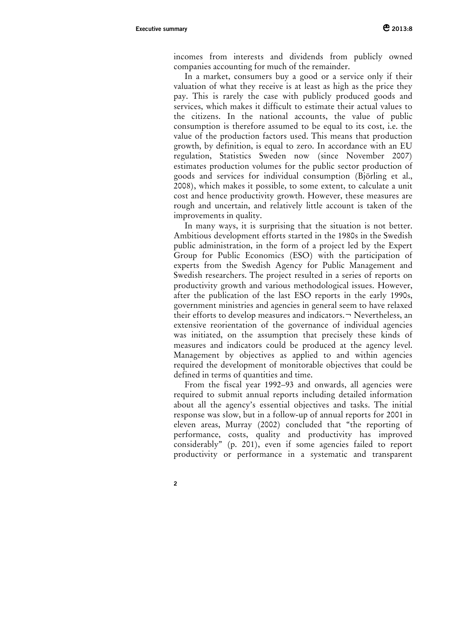incomes from interests and dividends from publicly owned companies accounting for much of the remainder.

In a market, consumers buy a good or a service only if their valuation of what they receive is at least as high as the price they pay. This is rarely the case with publicly produced goods and services, which makes it difficult to estimate their actual values to the citizens. In the national accounts, the value of public consumption is therefore assumed to be equal to its cost, i.e. the value of the production factors used. This means that production growth, by definition, is equal to zero. In accordance with an EU regulation, Statistics Sweden now (since November 2007) estimates production volumes for the public sector production of goods and services for individual consumption (Björling et al., 2008), which makes it possible, to some extent, to calculate a unit cost and hence productivity growth. However, these measures are rough and uncertain, and relatively little account is taken of the improvements in quality.

In many ways, it is surprising that the situation is not better. Ambitious development efforts started in the 1980s in the Swedish public administration, in the form of a project led by the Expert Group for Public Economics (ESO) with the participation of experts from the Swedish Agency for Public Management and Swedish researchers. The project resulted in a series of reports on productivity growth and various methodological issues. However, after the publication of the last ESO reports in the early 1990s, government ministries and agencies in general seem to have relaxed their efforts to develop measures and indicators. $\neg$  Nevertheless, an extensive reorientation of the governance of individual agencies was initiated, on the assumption that precisely these kinds of measures and indicators could be produced at the agency level. Management by objectives as applied to and within agencies required the development of monitorable objectives that could be defined in terms of quantities and time.

From the fiscal year 1992–93 and onwards, all agencies were required to submit annual reports including detailed information about all the agency's essential objectives and tasks. The initial response was slow, but in a follow-up of annual reports for 2001 in eleven areas, Murray (2002) concluded that "the reporting of performance, costs, quality and productivity has improved considerably" (p. 201), even if some agencies failed to report productivity or performance in a systematic and transparent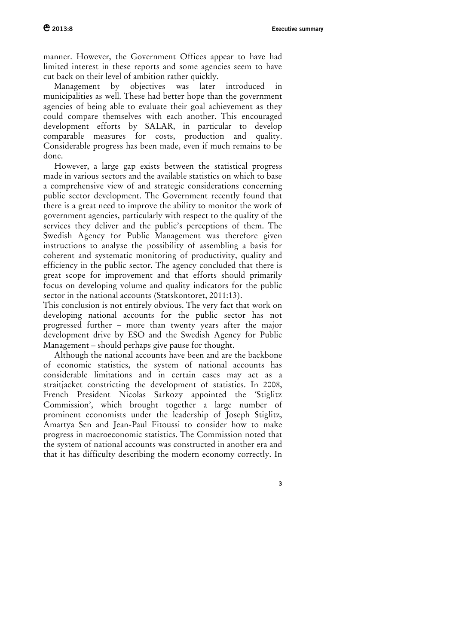manner. However, the Government Offices appear to have had limited interest in these reports and some agencies seem to have cut back on their level of ambition rather quickly.

Management by objectives was later introduced in municipalities as well. These had better hope than the government agencies of being able to evaluate their goal achievement as they could compare themselves with each another. This encouraged development efforts by SALAR, in particular to develop comparable measures for costs, production and quality. Considerable progress has been made, even if much remains to be done.

However, a large gap exists between the statistical progress made in various sectors and the available statistics on which to base a comprehensive view of and strategic considerations concerning public sector development. The Government recently found that there is a great need to improve the ability to monitor the work of government agencies, particularly with respect to the quality of the services they deliver and the public's perceptions of them. The Swedish Agency for Public Management was therefore given instructions to analyse the possibility of assembling a basis for coherent and systematic monitoring of productivity, quality and efficiency in the public sector. The agency concluded that there is great scope for improvement and that efforts should primarily focus on developing volume and quality indicators for the public sector in the national accounts (Statskontoret, 2011:13).

This conclusion is not entirely obvious. The very fact that work on developing national accounts for the public sector has not progressed further – more than twenty years after the major development drive by ESO and the Swedish Agency for Public Management – should perhaps give pause for thought.

Although the national accounts have been and are the backbone of economic statistics, the system of national accounts has considerable limitations and in certain cases may act as a straitjacket constricting the development of statistics. In 2008, French President Nicolas Sarkozy appointed the 'Stiglitz Commission', which brought together a large number of prominent economists under the leadership of Joseph Stiglitz, Amartya Sen and Jean-Paul Fitoussi to consider how to make progress in macroeconomic statistics. The Commission noted that the system of national accounts was constructed in another era and that it has difficulty describing the modern economy correctly. In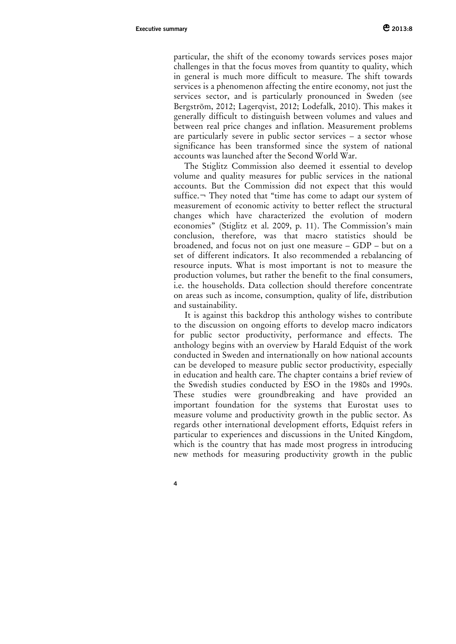particular, the shift of the economy towards services poses major challenges in that the focus moves from quantity to quality, which in general is much more difficult to measure. The shift towards services is a phenomenon affecting the entire economy, not just the services sector, and is particularly pronounced in Sweden (see Bergström, 2012; Lagerqvist, 2012; Lodefalk, 2010). This makes it generally difficult to distinguish between volumes and values and between real price changes and inflation. Measurement problems are particularly severe in public sector services – a sector whose significance has been transformed since the system of national accounts was launched after the Second World War.

The Stiglitz Commission also deemed it essential to develop volume and quality measures for public services in the national accounts. But the Commission did not expect that this would suffice.¬ They noted that "time has come to adapt our system of measurement of economic activity to better reflect the structural changes which have characterized the evolution of modern economies" (Stiglitz et al. 2009, p. 11). The Commission's main conclusion, therefore, was that macro statistics should be broadened, and focus not on just one measure – GDP – but on a set of different indicators. It also recommended a rebalancing of resource inputs. What is most important is not to measure the production volumes, but rather the benefit to the final consumers, i.e. the households. Data collection should therefore concentrate on areas such as income, consumption, quality of life, distribution and sustainability.

It is against this backdrop this anthology wishes to contribute to the discussion on ongoing efforts to develop macro indicators for public sector productivity, performance and effects. The anthology begins with an overview by Harald Edquist of the work conducted in Sweden and internationally on how national accounts can be developed to measure public sector productivity, especially in education and health care. The chapter contains a brief review of the Swedish studies conducted by ESO in the 1980s and 1990s. These studies were groundbreaking and have provided an important foundation for the systems that Eurostat uses to measure volume and productivity growth in the public sector. As regards other international development efforts, Edquist refers in particular to experiences and discussions in the United Kingdom, which is the country that has made most progress in introducing new methods for measuring productivity growth in the public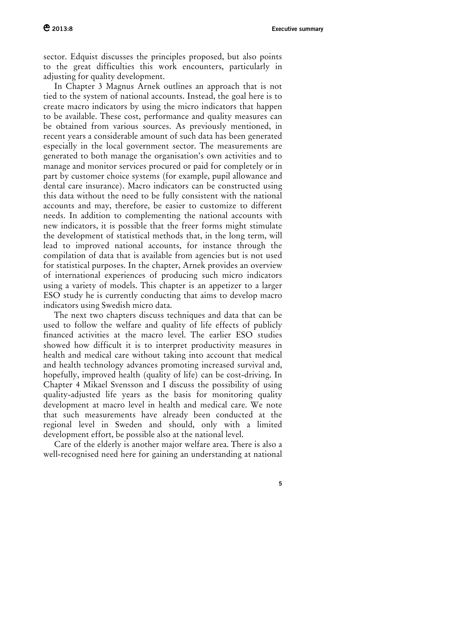sector. Edquist discusses the principles proposed, but also points to the great difficulties this work encounters, particularly in adjusting for quality development.

In Chapter 3 Magnus Arnek outlines an approach that is not tied to the system of national accounts. Instead, the goal here is to create macro indicators by using the micro indicators that happen to be available. These cost, performance and quality measures can be obtained from various sources. As previously mentioned, in recent years a considerable amount of such data has been generated especially in the local government sector. The measurements are generated to both manage the organisation's own activities and to manage and monitor services procured or paid for completely or in part by customer choice systems (for example, pupil allowance and dental care insurance). Macro indicators can be constructed using this data without the need to be fully consistent with the national accounts and may, therefore, be easier to customize to different needs. In addition to complementing the national accounts with new indicators, it is possible that the freer forms might stimulate the development of statistical methods that, in the long term, will lead to improved national accounts, for instance through the compilation of data that is available from agencies but is not used for statistical purposes. In the chapter, Arnek provides an overview of international experiences of producing such micro indicators using a variety of models. This chapter is an appetizer to a larger ESO study he is currently conducting that aims to develop macro indicators using Swedish micro data.

The next two chapters discuss techniques and data that can be used to follow the welfare and quality of life effects of publicly financed activities at the macro level. The earlier ESO studies showed how difficult it is to interpret productivity measures in health and medical care without taking into account that medical and health technology advances promoting increased survival and, hopefully, improved health (quality of life) can be cost-driving. In Chapter 4 Mikael Svensson and I discuss the possibility of using quality-adjusted life years as the basis for monitoring quality development at macro level in health and medical care. We note that such measurements have already been conducted at the regional level in Sweden and should, only with a limited development effort, be possible also at the national level.

Care of the elderly is another major welfare area. There is also a well-recognised need here for gaining an understanding at national